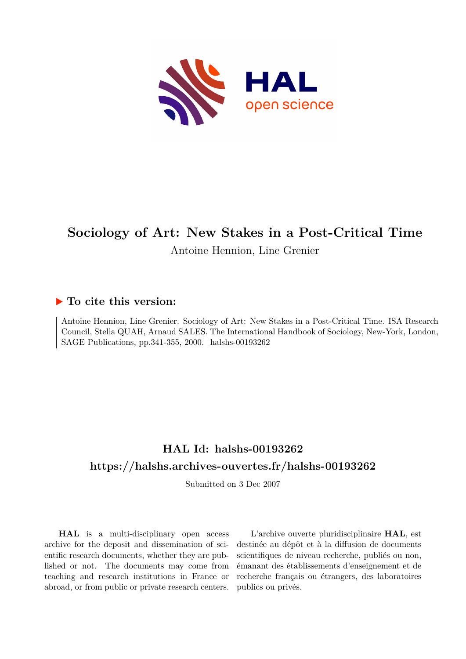

# **Sociology of Art: New Stakes in a Post-Critical Time**

### Antoine Hennion, Line Grenier

## **To cite this version:**

Antoine Hennion, Line Grenier. Sociology of Art: New Stakes in a Post-Critical Time. ISA Research Council, Stella QUAH, Arnaud SALES. The International Handbook of Sociology, New-York, London, SAGE Publications, pp.341-355, 2000. halshs-00193262

## **HAL Id: halshs-00193262 <https://halshs.archives-ouvertes.fr/halshs-00193262>**

Submitted on 3 Dec 2007

**HAL** is a multi-disciplinary open access archive for the deposit and dissemination of scientific research documents, whether they are published or not. The documents may come from teaching and research institutions in France or abroad, or from public or private research centers.

L'archive ouverte pluridisciplinaire **HAL**, est destinée au dépôt et à la diffusion de documents scientifiques de niveau recherche, publiés ou non, émanant des établissements d'enseignement et de recherche français ou étrangers, des laboratoires publics ou privés.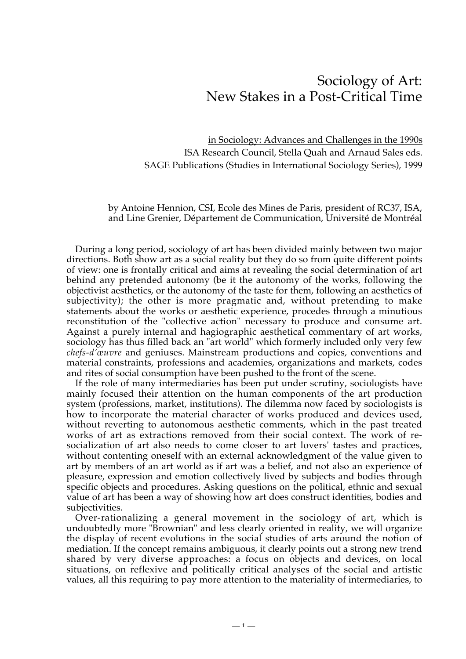# Sociology of Art: New Stakes in a Post-Critical Time

in Sociology: Advances and Challenges in the 1990s ISA Research Council, Stella Quah and Arnaud Sales eds. SAGE Publications (Studies in International Sociology Series), 1999

#### by Antoine Hennion, CSI, Ecole des Mines de Paris, president of RC37, ISA, and Line Grenier, Département de Communication, Université de Montréal

During a long period, sociology of art has been divided mainly between two major directions. Both show art as a social reality but they do so from quite different points of view: one is frontally critical and aims at revealing the social determination of art behind any pretended autonomy (be it the autonomy of the works, following the objectivist aesthetics, or the autonomy of the taste for them, following an aesthetics of subjectivity); the other is more pragmatic and, without pretending to make statements about the works or aesthetic experience, procedes through a minutious reconstitution of the "collective action" necessary to produce and consume art. Against a purely internal and hagiographic aesthetical commentary of art works, sociology has thus filled back an "art world" which formerly included only very few *chefs-d'œuvre* and geniuses. Mainstream productions and copies, conventions and material constraints, professions and academies, organizations and markets, codes and rites of social consumption have been pushed to the front of the scene.

If the role of many intermediaries has been put under scrutiny, sociologists have mainly focused their attention on the human components of the art production system (professions, market, institutions). The dilemma now faced by sociologists is how to incorporate the material character of works produced and devices used, without reverting to autonomous aesthetic comments, which in the past treated works of art as extractions removed from their social context. The work of resocialization of art also needs to come closer to art lovers' tastes and practices, without contenting oneself with an external acknowledgment of the value given to art by members of an art world as if art was a belief, and not also an experience of pleasure, expression and emotion collectively lived by subjects and bodies through specific objects and procedures. Asking questions on the political, ethnic and sexual value of art has been a way of showing how art does construct identities, bodies and subjectivities.

Over-rationalizing a general movement in the sociology of art, which is undoubtedly more "Brownian" and less clearly oriented in reality, we will organize the display of recent evolutions in the social studies of arts around the notion of mediation. If the concept remains ambiguous, it clearly points out a strong new trend shared by very diverse approaches: a focus on objects and devices, on local situations, on reflexive and politically critical analyses of the social and artistic values, all this requiring to pay more attention to the materiality of intermediaries, to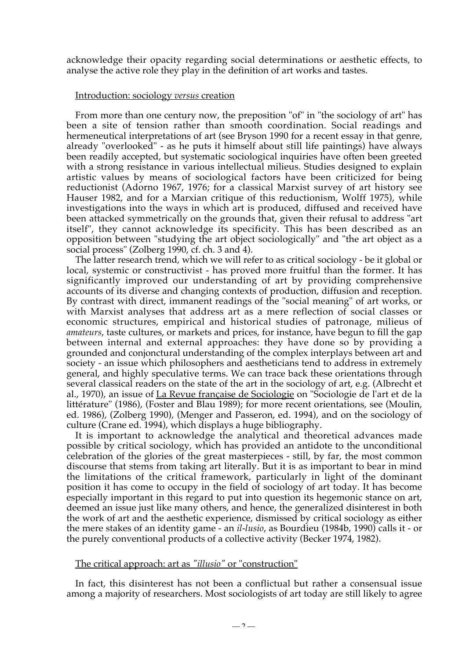acknowledge their opacity regarding social determinations or aesthetic effects, to analyse the active role they play in the definition of art works and tastes.

#### Introduction: sociology *versus* creation

From more than one century now, the preposition "of" in "the sociology of art" has been a site of tension rather than smooth coordination. Social readings and hermeneutical interpretations of art (see Bryson 1990 for a recent essay in that genre, already "overlooked" - as he puts it himself about still life paintings) have always been readily accepted, but systematic sociological inquiries have often been greeted with a strong resistance in various intellectual milieus. Studies designed to explain artistic values by means of sociological factors have been criticized for being reductionist (Adorno 1967, 1976; for a classical Marxist survey of art history see Hauser 1982, and for a Marxian critique of this reductionism, Wolff 1975), while investigations into the ways in which art is produced, diffused and received have been attacked symmetrically on the grounds that, given their refusal to address "art itself", they cannot acknowledge its specificity. This has been described as an opposition between "studying the art object sociologically" and "the art object as a social process" (Zolberg 1990, cf. ch. 3 and 4).

The latter research trend, which we will refer to as critical sociology - be it global or local, systemic or constructivist - has proved more fruitful than the former. It has significantly improved our understanding of art by providing comprehensive accounts of its diverse and changing contexts of production, diffusion and reception. By contrast with direct, immanent readings of the "social meaning" of art works, or with Marxist analyses that address art as a mere reflection of social classes or economic structures, empirical and historical studies of patronage, milieus of *amateurs*, taste cultures, or markets and prices, for instance, have begun to fill the gap between internal and external approaches: they have done so by providing a grounded and conjonctural understanding of the complex interplays between art and society - an issue which philosophers and aestheticians tend to address in extremely general, and highly speculative terms. We can trace back these orientations through several classical readers on the state of the art in the sociology of art, e.g. (Albrecht et al., 1970), an issue of La Revue française de Sociologie on "Sociologie de l'art et de la littérature" (1986), (Foster and Blau 1989); for more recent orientations, see (Moulin, ed. 1986), (Zolberg 1990), (Menger and Passeron, ed. 1994), and on the sociology of culture (Crane ed. 1994), which displays a huge bibliography.

It is important to acknowledge the analytical and theoretical advances made possible by critical sociology, which has provided an antidote to the unconditional celebration of the glories of the great masterpieces - still, by far, the most common discourse that stems from taking art literally. But it is as important to bear in mind the limitations of the critical framework, particularly in light of the dominant position it has come to occupy in the field of sociology of art today. It has become especially important in this regard to put into question its hegemonic stance on art, deemed an issue just like many others, and hence, the generalized disinterest in both the work of art and the aesthetic experience, dismissed by critical sociology as either the mere stakes of an identity game - an *il-lusio*, as Bourdieu (1984b, 1990) calls it - or the purely conventional products of a collective activity (Becker 1974, 1982).

#### The critical approach: art as *"illusio"* or "construction"

In fact, this disinterest has not been a conflictual but rather a consensual issue among a majority of researchers. Most sociologists of art today are still likely to agree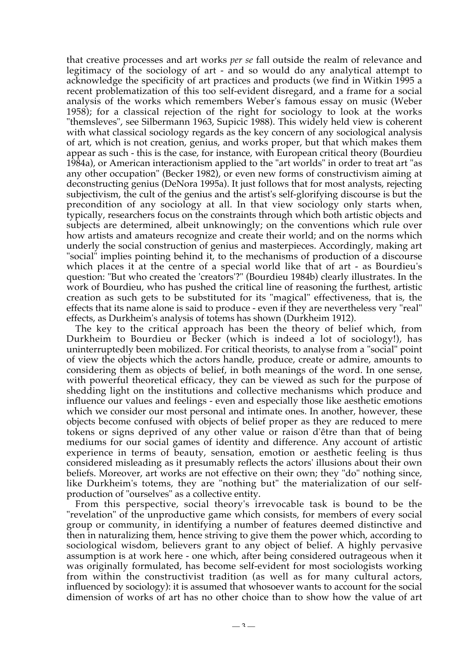that creative processes and art works *per se* fall outside the realm of relevance and legitimacy of the sociology of art - and so would do any analytical attempt to acknowledge the specificity of art practices and products (we find in Witkin 1995 a recent problematization of this too self-evident disregard, and a frame for a social analysis of the works which remembers Weber's famous essay on music (Weber 1958); for a classical rejection of the right for sociology to look at the works "themsleves", see Silbermann 1963, Supicic 1988). This widely held view is coherent with what classical sociology regards as the key concern of any sociological analysis of art, which is not creation, genius, and works proper, but that which makes them appear as such - this is the case, for instance, with European critical theory (Bourdieu 1984a), or American interactionism applied to the "art worlds" in order to treat art "as any other occupation" (Becker 1982), or even new forms of constructivism aiming at deconstructing genius (DeNora 1995a). It just follows that for most analysts, rejecting subjectivism, the cult of the genius and the artist's self-glorifying discourse is but the precondition of any sociology at all. In that view sociology only starts when, typically, researchers focus on the constraints through which both artistic objects and subjects are determined, albeit unknowingly; on the conventions which rule over how artists and amateurs recognize and create their world; and on the norms which underly the social construction of genius and masterpieces. Accordingly, making art "social" implies pointing behind it, to the mechanisms of production of a discourse which places it at the centre of a special world like that of art - as Bourdieu's question: "But who created the 'creators'?" (Bourdieu 1984b) clearly illustrates. In the work of Bourdieu, who has pushed the critical line of reasoning the furthest, artistic creation as such gets to be substituted for its "magical" effectiveness, that is, the effects that its name alone is said to produce - even if they are nevertheless very "real" effects, as Durkheim's analysis of totems has shown (Durkheim 1912).

The key to the critical approach has been the theory of belief which, from Durkheim to Bourdieu or Becker (which is indeed a lot of sociology!), has uninterruptedly been mobilized. For critical theorists, to analyse from a "social" point of view the objects which the actors handle, produce, create or admire, amounts to considering them as objects of belief, in both meanings of the word. In one sense, with powerful theoretical efficacy, they can be viewed as such for the purpose of shedding light on the institutions and collective mechanisms which produce and influence our values and feelings - even and especially those like aesthetic emotions which we consider our most personal and intimate ones. In another, however, these objects become confused with objects of belief proper as they are reduced to mere tokens or signs deprived of any other value or raison d'être than that of being mediums for our social games of identity and difference. Any account of artistic experience in terms of beauty, sensation, emotion or aesthetic feeling is thus considered misleading as it presumably reflects the actors' illusions about their own beliefs. Moreover, art works are not effective on their own; they "do" nothing since, like Durkheim's totems, they are "nothing but" the materialization of our selfproduction of "ourselves" as a collective entity.

From this perspective, social theory's irrevocable task is bound to be the "revelation" of the unproductive game which consists, for members of every social group or community, in identifying a number of features deemed distinctive and then in naturalizing them, hence striving to give them the power which, according to sociological wisdom, believers grant to any object of belief. A highly pervasive assumption is at work here - one which, after being considered outrageous when it was originally formulated, has become self-evident for most sociologists working from within the constructivist tradition (as well as for many cultural actors, influenced by sociology): it is assumed that whosoever wants to account for the social dimension of works of art has no other choice than to show how the value of art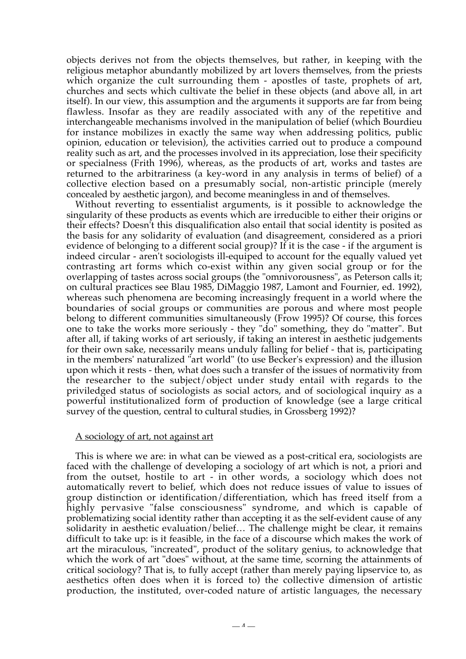objects derives not from the objects themselves, but rather, in keeping with the religious metaphor abundantly mobilized by art lovers themselves, from the priests which organize the cult surrounding them - apostles of taste, prophets of art, churches and sects which cultivate the belief in these objects (and above all, in art itself). In our view, this assumption and the arguments it supports are far from being flawless. Insofar as they are readily associated with any of the repetitive and interchangeable mechanisms involved in the manipulation of belief (which Bourdieu for instance mobilizes in exactly the same way when addressing politics, public opinion, education or television), the activities carried out to produce a compound reality such as art, and the processes involved in its appreciation, lose their specificity or specialness (Frith 1996), whereas, as the products of art, works and tastes are returned to the arbitrariness (a key-word in any analysis in terms of belief) of a collective election based on a presumably social, non-artistic principle (merely concealed by aesthetic jargon), and become meaningless in and of themselves.

Without reverting to essentialist arguments, is it possible to acknowledge the singularity of these products as events which are irreducible to either their origins or their effects? Doesn't this disqualification also entail that social identity is posited as the basis for any solidarity of evaluation (and disagreement, considered as a priori evidence of belonging to a different social group)? If it is the case - if the argument is indeed circular - aren't sociologists ill-equiped to account for the equally valued yet contrasting art forms which co-exist within any given social group or for the overlapping of tastes across social groups (the "omnivorousness", as Peterson calls it; on cultural practices see Blau 1985, DiMaggio 1987, Lamont and Fournier, ed. 1992), whereas such phenomena are becoming increasingly frequent in a world where the boundaries of social groups or communities are porous and where most people belong to different communities simultaneously (Frow 1995)? Of course, this forces one to take the works more seriously - they "do" something, they do "matter". But after all, if taking works of art seriously, if taking an interest in aesthetic judgements for their own sake, necessarily means unduly falling for belief - that is, participating in the members' naturalized "art world" (to use Becker's expression) and the illusion upon which it rests - then, what does such a transfer of the issues of normativity from the researcher to the subject/object under study entail with regards to the priviledged status of sociologists as social actors, and of sociological inquiry as a powerful institutionalized form of production of knowledge (see a large critical survey of the question, central to cultural studies, in Grossberg 1992)?

#### A sociology of art, not against art

This is where we are: in what can be viewed as a post-critical era, sociologists are faced with the challenge of developing a sociology of art which is not, a priori and from the outset, hostile to art - in other words, a sociology which does not automatically revert to belief, which does not reduce issues of value to issues of group distinction or identification/differentiation, which has freed itself from a highly pervasive "false consciousness" syndrome, and which is capable of problematizing social identity rather than accepting it as the self-evident cause of any solidarity in aesthetic evaluation/belief… The challenge might be clear, it remains difficult to take up: is it feasible, in the face of a discourse which makes the work of art the miraculous, "increated", product of the solitary genius, to acknowledge that which the work of art "does" without, at the same time, scorning the attainments of critical sociology? That is, to fully accept (rather than merely paying lipservice to, as aesthetics often does when it is forced to) the collective dimension of artistic production, the instituted, over-coded nature of artistic languages, the necessary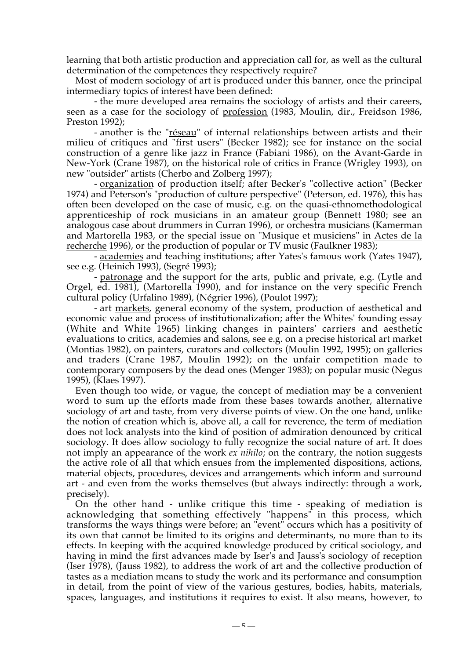learning that both artistic production and appreciation call for, as well as the cultural determination of the competences they respectively require?

Most of modern sociology of art is produced under this banner, once the principal intermediary topics of interest have been defined:

- the more developed area remains the sociology of artists and their careers, seen as a case for the sociology of profession (1983, Moulin, dir., Freidson 1986, Preston 1992);

- another is the "réseau" of internal relationships between artists and their milieu of critiques and "first users" (Becker 1982); see for instance on the social construction of a genre like jazz in France (Fabiani 1986), on the Avant-Garde in New-York (Crane 1987), on the historical role of critics in France (Wrigley 1993), on new "outsider" artists (Cherbo and Zolberg 1997);

- organization of production itself; after Becker's "collective action" (Becker 1974) and Peterson's "production of culture perspective" (Peterson, ed. 1976), this has often been developed on the case of music, e.g. on the quasi-ethnomethodological apprenticeship of rock musicians in an amateur group (Bennett 1980; see an analogous case about drummers in Curran 1996), or orchestra musicians (Kamerman and Martorella 1983, or the special issue on "Musique et musiciens" in Actes de la recherche 1996), or the production of popular or TV music (Faulkner 1983);

- academies and teaching institutions; after Yates's famous work (Yates 1947), see e.g. (Heinich 1993), (Segré 1993);

- patronage and the support for the arts, public and private, e.g. (Lytle and Orgel, ed. 1981), (Martorella 1990), and for instance on the very specific French cultural policy (Urfalino 1989), (Négrier 1996), (Poulot 1997);

- art markets, general economy of the system, production of aesthetical and economic value and process of institutionalization; after the Whites' founding essay (White and White 1965) linking changes in painters' carriers and aesthetic evaluations to critics, academies and salons, see e.g. on a precise historical art market (Montias 1982), on painters, curators and collectors (Moulin 1992, 1995); on galleries and traders (Crane 1987, Moulin 1992); on the unfair competition made to contemporary composers by the dead ones (Menger 1983); on popular music (Negus 1995), (Klaes 1997).

Even though too wide, or vague, the concept of mediation may be a convenient word to sum up the efforts made from these bases towards another, alternative sociology of art and taste, from very diverse points of view. On the one hand, unlike the notion of creation which is, above all, a call for reverence, the term of mediation does not lock analysts into the kind of position of admiration denounced by critical sociology. It does allow sociology to fully recognize the social nature of art. It does not imply an appearance of the work *ex nihilo*; on the contrary, the notion suggests the active role of all that which ensues from the implemented dispositions, actions, material objects, procedures, devices and arrangements which inform and surround art - and even from the works themselves (but always indirectly: through a work, precisely).

On the other hand - unlike critique this time - speaking of mediation is acknowledging that something effectively "happens" in this process, which transforms the ways things were before; an "event" occurs which has a positivity of its own that cannot be limited to its origins and determinants, no more than to its effects. In keeping with the acquired knowledge produced by critical sociology, and having in mind the first advances made by Iser's and Jauss's sociology of reception (Iser 1978), (Jauss 1982), to address the work of art and the collective production of tastes as a mediation means to study the work and its performance and consumption in detail, from the point of view of the various gestures, bodies, habits, materials, spaces, languages, and institutions it requires to exist. It also means, however, to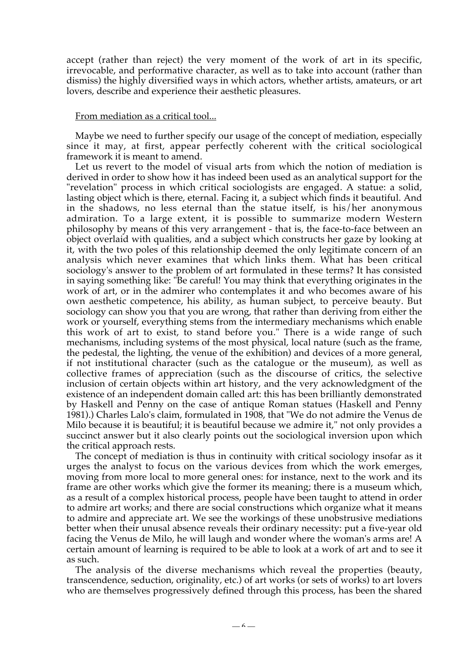accept (rather than reject) the very moment of the work of art in its specific, irrevocable, and performative character, as well as to take into account (rather than dismiss) the highly diversified ways in which actors, whether artists, amateurs, or art lovers, describe and experience their aesthetic pleasures.

#### From mediation as a critical tool...

Maybe we need to further specify our usage of the concept of mediation, especially since it may, at first, appear perfectly coherent with the critical sociological framework it is meant to amend.

Let us revert to the model of visual arts from which the notion of mediation is derived in order to show how it has indeed been used as an analytical support for the "revelation" process in which critical sociologists are engaged. A statue: a solid, lasting object which is there, eternal. Facing it, a subject which finds it beautiful. And in the shadows, no less eternal than the statue itself, is his/her anonymous admiration. To a large extent, it is possible to summarize modern Western philosophy by means of this very arrangement - that is, the face-to-face between an object overlaid with qualities, and a subject which constructs her gaze by looking at it, with the two poles of this relationship deemed the only legitimate concern of an analysis which never examines that which links them. What has been critical sociology's answer to the problem of art formulated in these terms? It has consisted in saying something like: "Be careful! You may think that everything originates in the work of art, or in the admirer who contemplates it and who becomes aware of his own aesthetic competence, his ability, as human subject, to perceive beauty. But sociology can show you that you are wrong, that rather than deriving from either the work or yourself, everything stems from the intermediary mechanisms which enable this work of art to exist, to stand before you." There is a wide range of such mechanisms, including systems of the most physical, local nature (such as the frame, the pedestal, the lighting, the venue of the exhibition) and devices of a more general, if not institutional character (such as the catalogue or the museum), as well as collective frames of appreciation (such as the discourse of critics, the selective inclusion of certain objects within art history, and the very acknowledgment of the existence of an independent domain called art: this has been brilliantly demonstrated by Haskell and Penny on the case of antique Roman statues (Haskell and Penny 1981).) Charles Lalo's claim, formulated in 1908, that "We do not admire the Venus de Milo because it is beautiful; it is beautiful because we admire it," not only provides a succinct answer but it also clearly points out the sociological inversion upon which the critical approach rests.

The concept of mediation is thus in continuity with critical sociology insofar as it urges the analyst to focus on the various devices from which the work emerges, moving from more local to more general ones: for instance, next to the work and its frame are other works which give the former its meaning; there is a museum which, as a result of a complex historical process, people have been taught to attend in order to admire art works; and there are social constructions which organize what it means to admire and appreciate art. We see the workings of these unobstrusive mediations better when their unusal absence reveals their ordinary necessity: put a five-year old facing the Venus de Milo, he will laugh and wonder where the woman's arms are! A certain amount of learning is required to be able to look at a work of art and to see it as such.

The analysis of the diverse mechanisms which reveal the properties (beauty, transcendence, seduction, originality, etc.) of art works (or sets of works) to art lovers who are themselves progressively defined through this process, has been the shared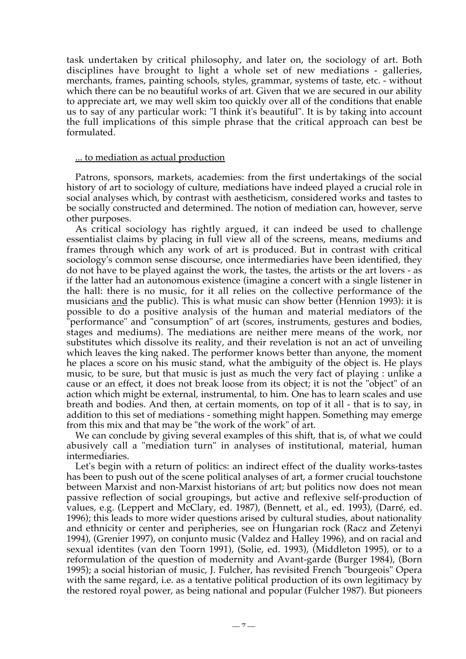task undertaken by critical philosophy, and later on, the sociology of art. Both disciplines have brought to light a whole set of new mediations - galleries, merchants, frames, painting schools, styles, grammar, systems of taste, etc. - without which there can be no beautiful works of art. Given that we are secured in our ability to appreciate art, we may well skim too quickly over all of the conditions that enable us to say of any particular work: "I think it's beautiful". It is by taking into account the full implications of this simple phrase that the critical approach can best be formulated.

#### ... to mediation as actual production

Patrons, sponsors, markets, academies: from the first undertakings of the social history of art to sociology of culture, mediations have indeed played a crucial role in social analyses which, by contrast with aestheticism, considered works and tastes to be socially constructed and determined. The notion of mediation can, however, serve other purposes.

As critical sociology has rightly argued, it can indeed be used to challenge essentialist claims by placing in full view all of the screens, means, mediums and frames through which any work of art is produced. But in contrast with critical sociology's common sense discourse, once intermediaries have been identified, they do not have to be played against the work, the tastes, the artists or the art lovers - as if the latter had an autonomous existence (imagine a concert with a single listener in the hall: there is no music, for it all relies on the collective performance of the musicians and the public). This is what music can show better (Hennion 1993): it is possible to do a positive analysis of the human and material mediators of the "performance" and "consumption" of art (scores, instruments, gestures and bodies, stages and mediums). The mediations are neither mere means of the work, nor substitutes which dissolve its reality, and their revelation is not an act of unveiling which leaves the king naked. The performer knows better than anyone, the moment he places a score on his music stand, what the ambiguity of the object is. He plays music, to be sure, but that music is just as much the very fact of playing : unlike a cause or an effect, it does not break loose from its object; it is not the "object" of an action which might be external, instrumental, to him. One has to learn scales and use breath and bodies. And then, at certain moments, on top of it all - that is to say, in addition to this set of mediations - something might happen. Something may emerge from this mix and that may be "the work of the work" of art.

We can conclude by giving several examples of this shift, that is, of what we could abusively call a "mediation turn" in analyses of institutional, material, human intermediaries.

Let's begin with a return of politics: an indirect effect of the duality works-tastes has been to push out of the scene political analyses of art, a former crucial touchstone between Marxist and non-Marxist historians of art; but politics now does not mean passive reflection of social groupings, but active and reflexive self-production of values, e.g. (Leppert and McClary, ed. 1987), (Bennett, et al., ed. 1993), (Darré, ed. 1996); this leads to more wider questions arised by cultural studies, about nationality and ethnicity or center and peripheries, see on Hungarian rock (Racz and Zetenyi 1994), (Grenier 1997), on conjunto music (Valdez and Halley 1996), and on racial and sexual identites (van den Toorn 1991), (Solie, ed. 1993), (Middleton 1995), or to a reformulation of the question of modernity and Avant-garde (Burger 1984), (Born 1995); a social historian of music, J. Fulcher, has revisited French "bourgeois" Opera with the same regard, i.e. as a tentative political production of its own legitimacy by the restored royal power, as being national and popular (Fulcher 1987). But pioneers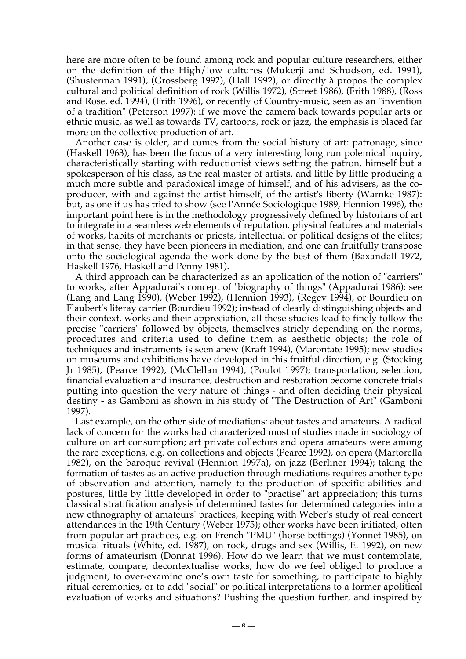here are more often to be found among rock and popular culture researchers, either on the definition of the High/low cultures (Mukerji and Schudson, ed. 1991), (Shusterman 1991), (Grossberg 1992), (Hall 1992), or directly à propos the complex cultural and political definition of rock (Willis 1972), (Street 1986), (Frith 1988), (Ross and Rose, ed. 1994), (Frith 1996), or recently of Country-music, seen as an "invention of a tradition" (Peterson 1997): if we move the camera back towards popular arts or ethnic music, as well as towards TV, cartoons, rock or jazz, the emphasis is placed far more on the collective production of art.

Another case is older, and comes from the social history of art: patronage, since (Haskell 1963), has been the focus of a very interesting long run polemical inquiry, characteristically starting with reductionist views setting the patron, himself but a spokesperson of his class, as the real master of artists, and little by little producing a much more subtle and paradoxical image of himself, and of his advisers, as the coproducer, with and against the artist himself, of the artist's liberty (Warnke 1987): but, as one if us has tried to show (see l'Année Sociologique 1989, Hennion 1996), the important point here is in the methodology progressively defined by historians of art to integrate in a seamless web elements of reputation, physical features and materials of works, habits of merchants or priests, intellectual or political designs of the elites; in that sense, they have been pioneers in mediation, and one can fruitfully transpose onto the sociological agenda the work done by the best of them (Baxandall 1972, Haskell 1976, Haskell and Penny 1981).

A third approach can be characterized as an application of the notion of "carriers" to works, after Appadurai's concept of "biography of things" (Appadurai 1986): see (Lang and Lang 1990), (Weber 1992), (Hennion 1993), (Regev 1994), or Bourdieu on Flaubert's literay carrier (Bourdieu 1992); instead of clearly distinguishing objects and their context, works and their appreciation, all these studies lead to finely follow the precise "carriers" followed by objects, themselves stricly depending on the norms, procedures and criteria used to define them as aesthetic objects; the role of techniques and instruments is seen anew (Kraft 1994), (Marontate 1995); new studies on museums and exhibitions have developed in this fruitful direction, e.g. (Stocking Jr 1985), (Pearce 1992), (McClellan 1994), (Poulot 1997); transportation, selection, financial evaluation and insurance, destruction and restoration become concrete trials putting into question the very nature of things - and often deciding their physical destiny - as Gamboni as shown in his study of "The Destruction of Art" (Gamboni 1997).

Last example, on the other side of mediations: about tastes and amateurs. A radical lack of concern for the works had characterized most of studies made in sociology of culture on art consumption; art private collectors and opera amateurs were among the rare exceptions, e.g. on collections and objects (Pearce 1992), on opera (Martorella 1982), on the baroque revival (Hennion 1997a), on jazz (Berliner 1994); taking the formation of tastes as an active production through mediations requires another type of observation and attention, namely to the production of specific abilities and postures, little by little developed in order to "practise" art appreciation; this turns classical stratification analysis of determined tastes for determined categories into a new ethnography of amateurs' practices, keeping with Weber's study of real concert attendances in the 19th Century (Weber 1975); other works have been initiated, often from popular art practices, e.g. on French "PMU" (horse bettings) (Yonnet 1985), on musical rituals (White, ed. 1987), on rock, drugs and sex (Willis, E. 1992), on new forms of amateurism (Donnat 1996). How do we learn that we must contemplate, estimate, compare, decontextualise works, how do we feel obliged to produce a judgment, to over-examine one's own taste for something, to participate to highly ritual ceremonies, or to add "social" or political interpretations to a former apolitical evaluation of works and situations? Pushing the question further, and inspired by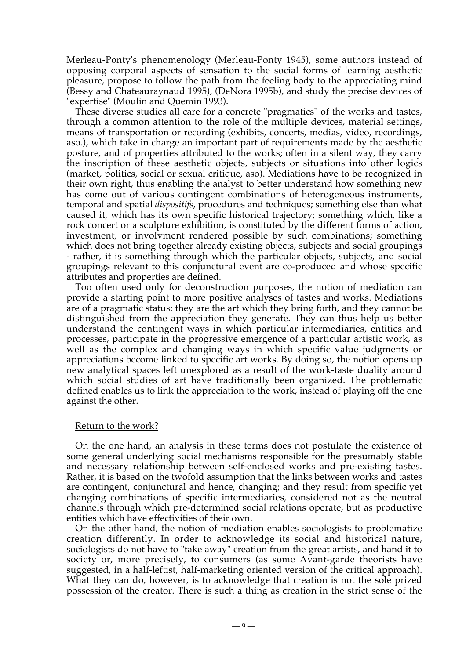Merleau-Ponty's phenomenology (Merleau-Ponty 1945), some authors instead of opposing corporal aspects of sensation to the social forms of learning aesthetic pleasure, propose to follow the path from the feeling body to the appreciating mind (Bessy and Chateauraynaud 1995), (DeNora 1995b), and study the precise devices of "expertise" (Moulin and Quemin 1993).

These diverse studies all care for a concrete "pragmatics" of the works and tastes, through a common attention to the role of the multiple devices, material settings, means of transportation or recording (exhibits, concerts, medias, video, recordings, aso.), which take in charge an important part of requirements made by the aesthetic posture, and of properties attributed to the works; often in a silent way, they carry the inscription of these aesthetic objects, subjects or situations into other logics (market, politics, social or sexual critique, aso). Mediations have to be recognized in their own right, thus enabling the analyst to better understand how something new has come out of various contingent combinations of heterogeneous instruments, temporal and spatial *dispositifs*, procedures and techniques; something else than what caused it, which has its own specific historical trajectory; something which, like a rock concert or a sculpture exhibition, is constituted by the different forms of action, investment, or involvment rendered possible by such combinations; something which does not bring together already existing objects, subjects and social groupings - rather, it is something through which the particular objects, subjects, and social groupings relevant to this conjunctural event are co-produced and whose specific attributes and properties are defined.

Too often used only for deconstruction purposes, the notion of mediation can provide a starting point to more positive analyses of tastes and works. Mediations are of a pragmatic status: they are the art which they bring forth, and they cannot be distinguished from the appreciation they generate. They can thus help us better understand the contingent ways in which particular intermediaries, entities and processes, participate in the progressive emergence of a particular artistic work, as well as the complex and changing ways in which specific value judgments or appreciations become linked to specific art works. By doing so, the notion opens up new analytical spaces left unexplored as a result of the work-taste duality around which social studies of art have traditionally been organized. The problematic defined enables us to link the appreciation to the work, instead of playing off the one against the other.

#### Return to the work?

On the one hand, an analysis in these terms does not postulate the existence of some general underlying social mechanisms responsible for the presumably stable and necessary relationship between self-enclosed works and pre-existing tastes. Rather, it is based on the twofold assumption that the links between works and tastes are contingent, conjunctural and hence, changing; and they result from specific yet changing combinations of specific intermediaries, considered not as the neutral channels through which pre-determined social relations operate, but as productive entities which have effectivities of their own.

On the other hand, the notion of mediation enables sociologists to problematize creation differently. In order to acknowledge its social and historical nature, sociologists do not have to "take away" creation from the great artists, and hand it to society or, more precisely, to consumers (as some Avant-garde theorists have suggested, in a half-leftist, half-marketing oriented version of the critical approach). What they can do, however, is to acknowledge that creation is not the sole prized possession of the creator. There is such a thing as creation in the strict sense of the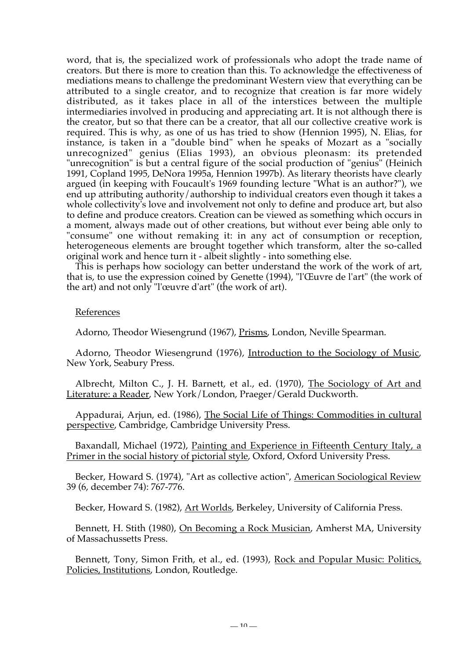word, that is, the specialized work of professionals who adopt the trade name of creators. But there is more to creation than this. To acknowledge the effectiveness of mediations means to challenge the predominant Western view that everything can be attributed to a single creator, and to recognize that creation is far more widely distributed, as it takes place in all of the interstices between the multiple intermediaries involved in producing and appreciating art. It is not although there is the creator, but so that there can be a creator, that all our collective creative work is required. This is why, as one of us has tried to show (Hennion 1995), N. Elias, for instance, is taken in a "double bind" when he speaks of Mozart as a "socially unrecognized" genius (Elias 1993), an obvious pleonasm: its pretended "unrecognition" is but a central figure of the social production of "genius" (Heinich 1991, Copland 1995, DeNora 1995a, Hennion 1997b). As literary theorists have clearly argued (in keeping with Foucault's 1969 founding lecture "What is an author?"), we end up attributing authority/authorship to individual creators even though it takes a whole collectivity's love and involvement not only to define and produce art, but also to define and produce creators. Creation can be viewed as something which occurs in a moment, always made out of other creations, but without ever being able only to "consume" one without remaking it: in any act of consumption or reception, heterogeneous elements are brought together which transform, alter the so-called original work and hence turn it - albeit slightly - into something else.

This is perhaps how sociology can better understand the work of the work of art, that is, to use the expression coined by Genette (1994), "l'Œuvre de l'art" (the work of the art) and not only "l'œuvre d'art" (the work of art).

#### References

Adorno, Theodor Wiesengrund (1967), Prisms, London, Neville Spearman.

Adorno, Theodor Wiesengrund (1976), Introduction to the Sociology of Music, New York, Seabury Press.

Albrecht, Milton C., J. H. Barnett, et al., ed. (1970), The Sociology of Art and Literature: a Reader, New York/London, Praeger/Gerald Duckworth.

Appadurai, Arjun, ed. (1986), The Social Life of Things: Commodities in cultural perspective, Cambridge, Cambridge University Press.

Baxandall, Michael (1972), Painting and Experience in Fifteenth Century Italy, a Primer in the social history of pictorial style, Oxford, Oxford University Press.

Becker, Howard S. (1974), "Art as collective action", American Sociological Review 39 (6, december 74): 767-776.

Becker, Howard S. (1982), Art Worlds, Berkeley, University of California Press.

Bennett, H. Stith (1980), On Becoming a Rock Musician, Amherst MA, University of Massachussetts Press.

Bennett, Tony, Simon Frith, et al., ed. (1993), Rock and Popular Music: Politics, Policies, Institutions, London, Routledge.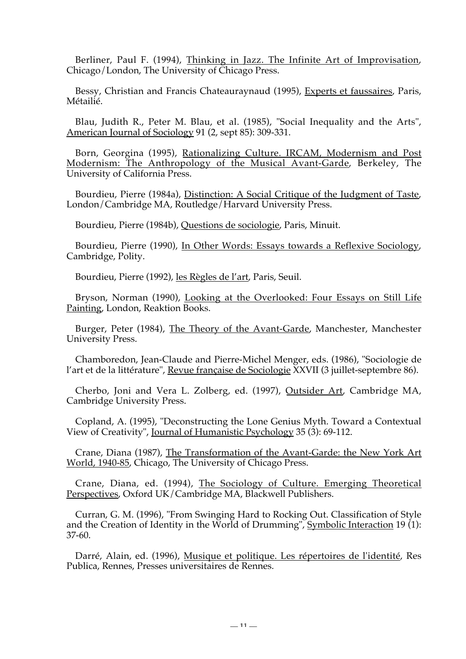Berliner, Paul F. (1994), Thinking in Jazz. The Infinite Art of Improvisation, Chicago/London, The University of Chicago Press.

Bessy, Christian and Francis Chateauraynaud (1995), Experts et faussaires, Paris, Métailié.

Blau, Judith R., Peter M. Blau, et al. (1985), "Social Inequality and the Arts", American Journal of Sociology 91 (2, sept 85): 309-331.

Born, Georgina (1995), Rationalizing Culture. IRCAM, Modernism and Post Modernism: The Anthropology of the Musical Avant-Garde, Berkeley, The University of California Press.

Bourdieu, Pierre (1984a), Distinction: A Social Critique of the Judgment of Taste, London/Cambridge MA, Routledge/Harvard University Press.

Bourdieu, Pierre (1984b), Questions de sociologie, Paris, Minuit.

Bourdieu, Pierre (1990), In Other Words: Essays towards a Reflexive Sociology, Cambridge, Polity.

Bourdieu, Pierre (1992), les Règles de l'art, Paris, Seuil.

Bryson, Norman (1990), Looking at the Overlooked: Four Essays on Still Life Painting, London, Reaktion Books.

Burger, Peter (1984), The Theory of the Avant-Garde, Manchester, Manchester University Press.

Chamboredon, Jean-Claude and Pierre-Michel Menger, eds. (1986), "Sociologie de l'art et de la littérature", Revue française de Sociologie XXVII (3 juillet-septembre 86).

Cherbo, Joni and Vera L. Zolberg, ed. (1997), Outsider Art, Cambridge MA, Cambridge University Press.

Copland, A. (1995), "Deconstructing the Lone Genius Myth. Toward a Contextual View of Creativity", Journal of Humanistic Psychology 35 (3): 69-112.

Crane, Diana (1987), The Transformation of the Avant-Garde: the New York Art World, 1940-85, Chicago, The University of Chicago Press.

Crane, Diana, ed. (1994), The Sociology of Culture. Emerging Theoretical Perspectives, Oxford UK/Cambridge MA, Blackwell Publishers.

Curran, G. M. (1996), "From Swinging Hard to Rocking Out. Classification of Style and the Creation of Identity in the World of Drumming", Symbolic Interaction 19 (1): 37-60.

Darré, Alain, ed. (1996), Musique et politique. Les répertoires de l'identité, Res Publica, Rennes, Presses universitaires de Rennes.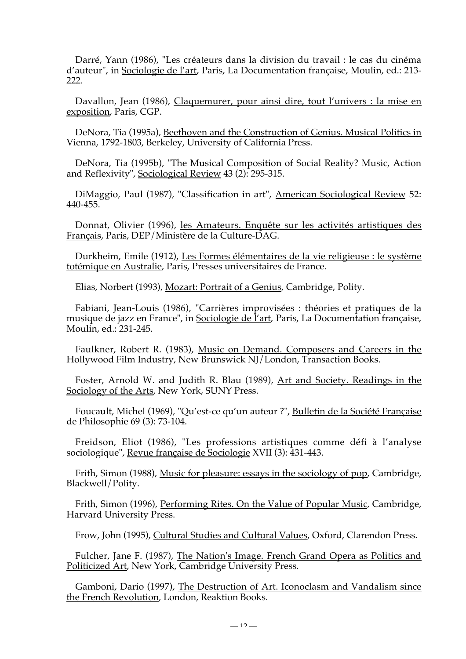Darré, Yann (1986), "Les créateurs dans la division du travail : le cas du cinéma d'auteur", in Sociologie de l'art, Paris, La Documentation française, Moulin, ed.: 213- 222.

Davallon, Jean (1986), Claquemurer, pour ainsi dire, tout l'univers : la mise en exposition, Paris, CGP.

DeNora, Tia (1995a), Beethoven and the Construction of Genius. Musical Politics in Vienna, 1792-1803, Berkeley, University of California Press.

DeNora, Tia (1995b), "The Musical Composition of Social Reality? Music, Action and Reflexivity", Sociological Review 43 (2): 295-315.

DiMaggio, Paul (1987), "Classification in art", American Sociological Review 52: 440-455.

Donnat, Olivier (1996), les Amateurs. Enquête sur les activités artistiques des Français, Paris, DEP/Ministère de la Culture-DAG.

Durkheim, Emile (1912), Les Formes élémentaires de la vie religieuse : le système totémique en Australie, Paris, Presses universitaires de France.

Elias, Norbert (1993), Mozart: Portrait of a Genius, Cambridge, Polity.

Fabiani, Jean-Louis (1986), "Carrières improvisées : théories et pratiques de la musique de jazz en France", in Sociologie de l'art, Paris, La Documentation française, Moulin, ed.: 231-245.

Faulkner, Robert R. (1983), Music on Demand. Composers and Careers in the Hollywood Film Industry, New Brunswick NJ/London, Transaction Books.

Foster, Arnold W. and Judith R. Blau (1989), Art and Society. Readings in the Sociology of the Arts, New York, SUNY Press.

Foucault, Michel (1969), "Qu'est-ce qu'un auteur ?", Bulletin de la Société Française de Philosophie 69 (3): 73-104.

Freidson, Eliot (1986), "Les professions artistiques comme défi à l'analyse sociologique", Revue française de Sociologie XVII (3): 431-443.

Frith, Simon (1988), Music for pleasure: essays in the sociology of pop, Cambridge, Blackwell/Polity.

Frith, Simon (1996), Performing Rites. On the Value of Popular Music, Cambridge, Harvard University Press.

Frow, John (1995), Cultural Studies and Cultural Values, Oxford, Clarendon Press.

Fulcher, Jane F. (1987), The Nation's Image. French Grand Opera as Politics and Politicized Art, New York, Cambridge University Press.

Gamboni, Dario (1997), The Destruction of Art. Iconoclasm and Vandalism since the French Revolution, London, Reaktion Books.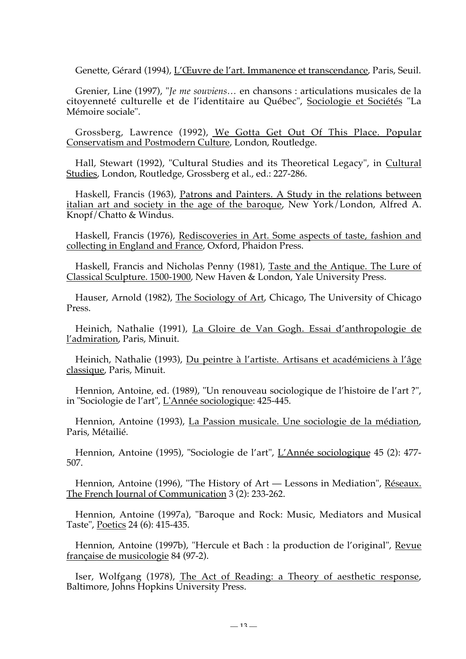Genette, Gérard (1994), L'Œuvre de l'art. Immanence et transcendance, Paris, Seuil.

Grenier, Line (1997), "*Je me souviens…* en chansons : articulations musicales de la citoyenneté culturelle et de l'identitaire au Québec", Sociologie et Sociétés "La Mémoire sociale".

Grossberg, Lawrence (1992), We Gotta Get Out Of This Place. Popular Conservatism and Postmodern Culture, London, Routledge.

Hall, Stewart (1992), "Cultural Studies and its Theoretical Legacy", in Cultural Studies, London, Routledge, Grossberg et al., ed.: 227-286.

Haskell, Francis (1963), Patrons and Painters. A Study in the relations between italian art and society in the age of the baroque, New York/London, Alfred A. Knopf/Chatto & Windus.

Haskell, Francis (1976), Rediscoveries in Art. Some aspects of taste, fashion and collecting in England and France, Oxford, Phaidon Press.

Haskell, Francis and Nicholas Penny (1981), Taste and the Antique. The Lure of Classical Sculpture. 1500-1900, New Haven & London, Yale University Press.

Hauser, Arnold (1982), The Sociology of Art, Chicago, The University of Chicago Press.

Heinich, Nathalie (1991), La Gloire de Van Gogh. Essai d'anthropologie de l'admiration, Paris, Minuit.

Heinich, Nathalie (1993), Du peintre à l'artiste. Artisans et académiciens à l'âge classique, Paris, Minuit.

Hennion, Antoine, ed. (1989), "Un renouveau sociologique de l'histoire de l'art ?", in "Sociologie de l'art", L'Année sociologique: 425-445.

Hennion, Antoine (1993), La Passion musicale. Une sociologie de la médiation, Paris, Métailié.

Hennion, Antoine (1995), "Sociologie de l'art", L'Année sociologique 45 (2): 477- 507.

Hennion, Antoine (1996), "The History of Art — Lessons in Mediation", Réseaux. The French Journal of Communication 3 (2): 233-262.

Hennion, Antoine (1997a), "Baroque and Rock: Music, Mediators and Musical Taste", Poetics 24 (6): 415-435.

Hennion, Antoine (1997b), "Hercule et Bach : la production de l'original", Revue française de musicologie 84 (97-2).

Iser, Wolfgang (1978), The Act of Reading: a Theory of aesthetic response, Baltimore, Johns Hopkins University Press.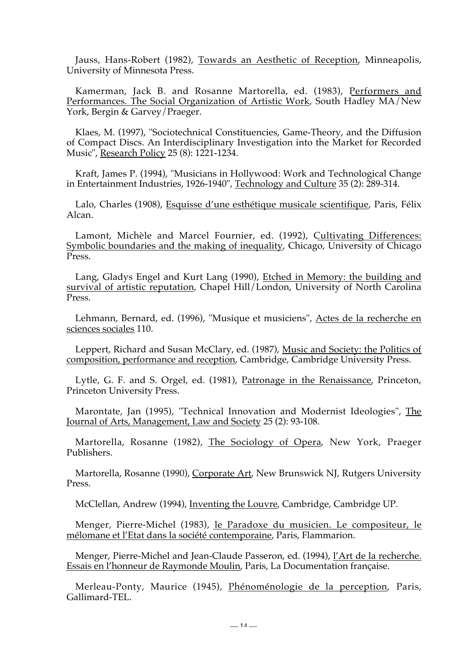Jauss, Hans-Robert (1982), Towards an Aesthetic of Reception, Minneapolis, University of Minnesota Press.

Kamerman, Jack B. and Rosanne Martorella, ed. (1983), Performers and Performances. The Social Organization of Artistic Work, South Hadley MA/New York, Bergin & Garvey/Praeger.

Klaes, M. (1997), "Sociotechnical Constituencies, Game-Theory, and the Diffusion of Compact Discs. An Interdisciplinary Investigation into the Market for Recorded Music", Research Policy 25 (8): 1221-1234.

Kraft, James P. (1994), "Musicians in Hollywood: Work and Technological Change in Entertainment Industries, 1926-1940", Technology and Culture 35 (2): 289-314.

Lalo, Charles (1908), Esquisse d'une esthétique musicale scientifique, Paris, Félix Alcan.

Lamont, Michèle and Marcel Fournier, ed. (1992), Cultivating Differences: Symbolic boundaries and the making of inequality, Chicago, University of Chicago Press.

Lang, Gladys Engel and Kurt Lang (1990), Etched in Memory: the building and survival of artistic reputation, Chapel Hill/London, University of North Carolina Press.

Lehmann, Bernard, ed. (1996), "Musique et musiciens", Actes de la recherche en sciences sociales 110.

Leppert, Richard and Susan McClary, ed. (1987), Music and Society: the Politics of composition, performance and reception, Cambridge, Cambridge University Press.

Lytle, G. F. and S. Orgel, ed. (1981), Patronage in the Renaissance, Princeton, Princeton University Press.

Marontate, Jan (1995), "Technical Innovation and Modernist Ideologies", The Journal of Arts, Management, Law and Society 25 (2): 93-108.

Martorella, Rosanne (1982), The Sociology of Opera, New York, Praeger Publishers.

Martorella, Rosanne (1990), Corporate Art, New Brunswick NJ, Rutgers University Press.

McClellan, Andrew (1994), Inventing the Louvre, Cambridge, Cambridge UP.

Menger, Pierre-Michel (1983), le Paradoxe du musicien. Le compositeur, le mélomane et l'Etat dans la société contemporaine, Paris, Flammarion.

Menger, Pierre-Michel and Jean-Claude Passeron, ed. (1994), l'Art de la recherche. Essais en l'honneur de Raymonde Moulin, Paris, La Documentation française.

Merleau-Ponty, Maurice (1945), Phénoménologie de la perception, Paris, Gallimard-TEL.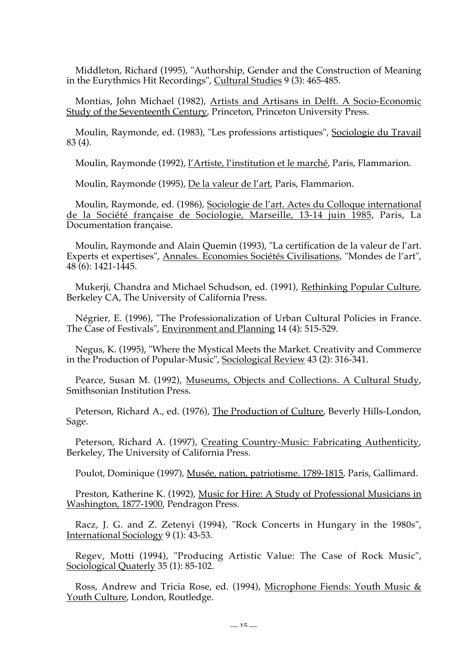Middleton, Richard (1995), "Authorship, Gender and the Construction of Meaning in the Eurythmics Hit Recordings", Cultural Studies 9 (3): 465-485.

Montias, John Michael (1982), Artists and Artisans in Delft. A Socio-Economic Study of the Seventeenth Century, Princeton, Princeton University Press.

Moulin, Raymonde, ed. (1983), "Les professions artistiques", Sociologie du Travail 83 (4).

Moulin, Raymonde (1992), l'Artiste, l'institution et le marché, Paris, Flammarion.

Moulin, Raymonde (1995), De la valeur de l'art, Paris, Flammarion.

Moulin, Raymonde, ed. (1986), Sociologie de l'art. Actes du Colloque international de la Société française de Sociologie, Marseille, 13-14 juin 1985, Paris, La Documentation française.

Moulin, Raymonde and Alain Quemin (1993), "La certification de la valeur de l'art. Experts et expertises", Annales. Economies Sociétés Civilisations, "Mondes de l'art", 48 (6): 1421-1445.

Mukerji, Chandra and Michael Schudson, ed. (1991), Rethinking Popular Culture, Berkeley CA, The University of California Press.

Négrier, E. (1996), "The Professionalization of Urban Cultural Policies in France. The Case of Festivals", Environment and Planning 14 (4): 515-529.

Negus, K. (1995), "Where the Mystical Meets the Market. Creativity and Commerce in the Production of Popular-Music", Sociological Review 43 (2): 316-341.

Pearce, Susan M. (1992), Museums, Objects and Collections. A Cultural Study, Smithsonian Institution Press.

Peterson, Richard A., ed. (1976), The Production of Culture, Beverly Hills-London, Sage.

Peterson, Richard A. (1997), Creating Country-Music: Fabricating Authenticity, Berkeley, The University of California Press.

Poulot, Dominique (1997), Musée, nation, patriotisme. 1789-1815, Paris, Gallimard.

Preston, Katherine K. (1992), Music for Hire: A Study of Professional Musicians in Washington, 1877-1900, Pendragon Press.

Racz, J. G. and Z. Zetenyi (1994), "Rock Concerts in Hungary in the 1980s", International Sociology 9 (1): 43-53.

Regev, Motti (1994), "Producing Artistic Value: The Case of Rock Music", Sociological Quaterly 35 (1): 85-102.

Ross, Andrew and Tricia Rose, ed. (1994), Microphone Fiends: Youth Music & Youth Culture, London, Routledge.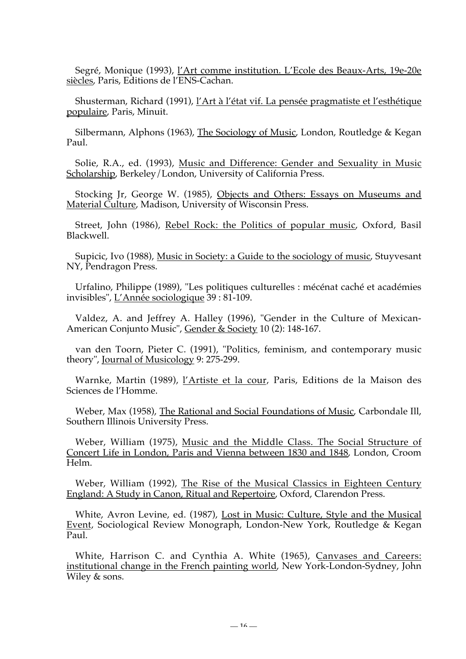Segré, Monique (1993), *l'Art comme institution. L'Ecole des Beaux-Arts*, 19e-20e siècles, Paris, Editions de l'ENS-Cachan.

Shusterman, Richard (1991), l'Art à l'état vif. La pensée pragmatiste et l'esthétique populaire, Paris, Minuit.

Silbermann, Alphons (1963), The Sociology of Music, London, Routledge & Kegan Paul.

Solie, R.A., ed. (1993), Music and Difference: Gender and Sexuality in Music Scholarship, Berkeley/London, University of California Press.

Stocking Jr, George W. (1985), Objects and Others: Essays on Museums and Material Culture, Madison, University of Wisconsin Press.

Street, John (1986), Rebel Rock: the Politics of popular music, Oxford, Basil Blackwell.

Supicic, Ivo (1988), Music in Society: a Guide to the sociology of music, Stuyvesant NY, Pendragon Press.

Urfalino, Philippe (1989), "Les politiques culturelles : mécénat caché et académies invisibles", L'Année sociologique 39 : 81-109.

Valdez, A. and Jeffrey A. Halley (1996), "Gender in the Culture of Mexican-American Conjunto Music", Gender & Society 10 (2): 148-167.

van den Toorn, Pieter C. (1991), "Politics, feminism, and contemporary music theory", <u>Journal of Musicology</u> 9: 275-299.

Warnke, Martin (1989), l'Artiste et la cour, Paris, Editions de la Maison des Sciences de l'Homme.

Weber, Max (1958), The Rational and Social Foundations of Music, Carbondale Ill, Southern Illinois University Press.

Weber, William (1975), Music and the Middle Class. The Social Structure of Concert Life in London, Paris and Vienna between 1830 and 1848, London, Croom Helm.

Weber, William (1992), The Rise of the Musical Classics in Eighteen Century England: A Study in Canon, Ritual and Repertoire, Oxford, Clarendon Press.

White, Avron Levine, ed. (1987), Lost in Music: Culture, Style and the Musical Event, Sociological Review Monograph, London-New York, Routledge & Kegan Paul.

White, Harrison C. and Cynthia A. White (1965), Canvases and Careers: institutional change in the French painting world, New York-London-Sydney, John Wiley & sons.